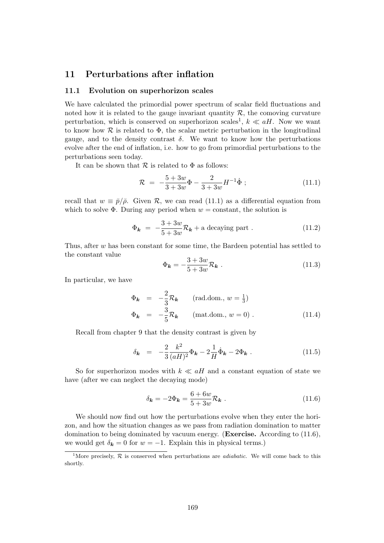# 11 Perturbations after inflation

# 11.1 Evolution on superhorizon scales

We have calculated the primordial power spectrum of scalar field fluctuations and noted how it is related to the gauge invariant quantity  $R$ , the comoving curvature perturbation, which is conserved on superhorizon scales<sup>1</sup>,  $k \ll aH$ . Now we want to know how  $\mathcal R$  is related to  $\Phi$ , the scalar metric perturbation in the longitudinal gauge, and to the density contrast  $\delta$ . We want to know how the perturbations evolve after the end of inflation, i.e. how to go from primordial perturbations to the perturbations seen today.

It can be shown that  $\mathcal R$  is related to  $\Phi$  as follows:

$$
\mathcal{R} = -\frac{5+3w}{3+3w}\Phi - \frac{2}{3+3w}H^{-1}\dot{\Phi} ; \qquad (11.1)
$$

recall that  $w \equiv \bar{p}/\bar{\rho}$ . Given R, we can read (11.1) as a differential equation from which to solve  $\Phi$ . During any period when  $w = constant$ , the solution is

$$
\Phi_{\mathbf{k}} = -\frac{3+3w}{5+3w}\mathcal{R}_{\mathbf{k}} + \text{a decaying part} \,. \tag{11.2}
$$

Thus, after  $w$  has been constant for some time, the Bardeen potential has settled to the constant value

$$
\Phi_{\mathbf{k}} = -\frac{3+3w}{5+3w} \mathcal{R}_{\mathbf{k}} \ . \tag{11.3}
$$

In particular, we have

$$
\Phi_{\mathbf{k}} = -\frac{2}{3} \mathcal{R}_{\mathbf{k}} \qquad \text{(rad.dom., } w = \frac{1}{3})
$$
  

$$
\Phi_{\mathbf{k}} = -\frac{3}{5} \mathcal{R}_{\mathbf{k}} \qquad \text{(mat.dom., } w = 0) . \qquad (11.4)
$$

Recall from chapter 9 that the density contrast is given by

$$
\delta_{\mathbf{k}} = -\frac{2}{3} \frac{k^2}{(aH)^2} \Phi_{\mathbf{k}} - 2 \frac{1}{H} \dot{\Phi}_{\mathbf{k}} - 2 \Phi_{\mathbf{k}} . \tag{11.5}
$$

So for superhorizon modes with  $k \ll aH$  and a constant equation of state we have (after we can neglect the decaying mode)

$$
\delta_{\mathbf{k}} = -2\Phi_{\mathbf{k}} = \frac{6+6w}{5+3w}\mathcal{R}_{\mathbf{k}} . \tag{11.6}
$$

We should now find out how the perturbations evolve when they enter the horizon, and how the situation changes as we pass from radiation domination to matter domination to being dominated by vacuum energy. (Exercise. According to (11.6), we would get  $\delta_{\mathbf{k}} = 0$  for  $w = -1$ . Explain this in physical terms.)

<sup>&</sup>lt;sup>1</sup>More precisely,  $\mathcal R$  is conserved when perturbations are *adiabatic*. We will come back to this shortly.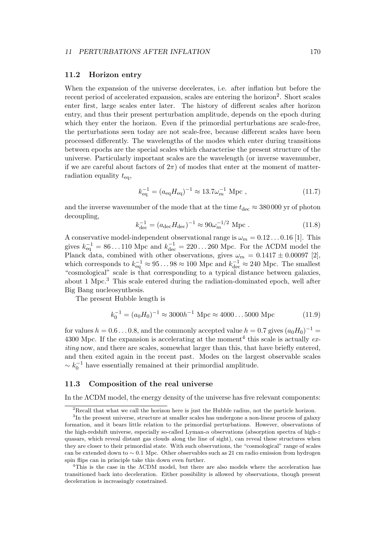# 11.2 Horizon entry

When the expansion of the universe decelerates, i.e. after inflation but before the recent period of accelerated expansion, scales are entering the horizon<sup>2</sup>. Short scales enter first, large scales enter later. The history of different scales after horizon entry, and thus their present perturbation amplitude, depends on the epoch during which they enter the horizon. Even if the primordial perturbations are scale-free, the perturbations seen today are not scale-free, because different scales have been processed differently. The wavelengths of the modes which enter during transitions between epochs are the special scales which characterise the present structure of the universe. Particularly important scales are the wavelength (or inverse wavenumber, if we are careful about factors of  $2\pi$ ) of modes that enter at the moment of matterradiation equality  $t_{\text{eq}}$ ,

$$
k_{\text{eq}}^{-1} = (a_{\text{eq}} H_{\text{eq}})^{-1} \approx 13.7 \omega_m^{-1} \text{ Mpc} , \qquad (11.7)
$$

and the inverse wavenumber of the mode that at the time  $t_{\text{dec}} \approx 380000$  yr of photon decoupling,

$$
k_{\text{dec}}^{-1} = (a_{\text{dec}} H_{\text{dec}})^{-1} \approx 90 \omega_m^{-1/2} \text{ Mpc} . \qquad (11.8)
$$

A conservative model-independent observational range is  $\omega_m = 0.12 \dots 0.16$  [1]. This gives  $k_{\text{eq}}^{-1} = 86...110 \text{ Mpc}$  and  $k_{\text{dec}}^{-1} = 220...260 \text{ Mpc}$ . For the  $\Lambda \text{CDM}$  model the Planck data, combined with other observations, gives  $\omega_m = 0.1417 \pm 0.00097$  [2], which corresponds to  $k_{\text{eq}}^{-1} \approx 95...98 \approx 100 \text{ Mpc}$  and  $k_{\text{dec}}^{-1} \approx 240 \text{ Mpc}$ . The smallest "cosmological" scale is that corresponding to a typical distance between galaxies, about 1 Mpc.<sup>3</sup> This scale entered during the radiation-dominated epoch, well after Big Bang nucleosynthesis.

The present Hubble length is

$$
k_0^{-1} = (a_0 H_0)^{-1} \approx 3000 h^{-1} \text{ Mpc} \approx 4000 \dots 5000 \text{ Mpc}
$$
 (11.9)

for values  $h = 0.6 \ldots 0.8$ , and the commonly accepted value  $h = 0.7$  gives  $(a_0 H_0)^{-1}$ 4300 Mpc. If the expansion is accelerating at the moment<sup>4</sup> this scale is actually  $ex$ iting now, and there are scales, somewhat larger than this, that have briefly entered, and then exited again in the recent past. Modes on the largest observable scales  $\sim k_0^{-1}$  have essentially remained at their primordial amplitude.

# 11.3 Composition of the real universe

In the ΛCDM model, the energy density of the universe has five relevant components:

 $2R$ ecall that what we call the horizon here is just the Hubble radius, not the particle horizon.

<sup>&</sup>lt;sup>3</sup>In the present universe, structure at smaller scales has undergone a non-linear process of galaxy formation, and it bears little relation to the primordial perturbations. However, observations of the high-redshift universe, especially so-called Lyman- $\alpha$  observations (absorption spectra of high-z quasars, which reveal distant gas clouds along the line of sight), can reveal these structures when they are closer to their primordial state. With such observations, the "cosmological" range of scales can be extended down to ∼ 0.1 Mpc. Other observables such as 21 cm radio emission from hydrogen spin flips can in principle take this down even further.

<sup>&</sup>lt;sup>4</sup>This is the case in the  $\Lambda$ CDM model, but there are also models where the acceleration has transitioned back into deceleration. Either possibility is allowed by observations, though present deceleration is increasingly constrained.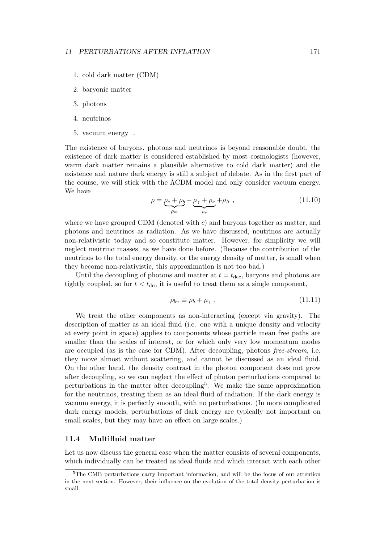- 1. cold dark matter (CDM)
- 2. baryonic matter
- 3. photons
- 4. neutrinos
- 5. vacuum energy .

The existence of baryons, photons and neutrinos is beyond reasonable doubt, the existence of dark matter is considered established by most cosmologists (however, warm dark matter remains a plausible alternative to cold dark matter) and the existence and nature dark energy is still a subject of debate. As in the first part of the course, we will stick with the ΛCDM model and only consider vacuum energy. We have

$$
\rho = \underbrace{\rho_c + \rho_b}_{\rho_m} + \underbrace{\rho_\gamma + \rho_\nu}_{\rho_r} + \rho_\Lambda \,, \tag{11.10}
$$

where we have grouped CDM (denoted with  $c$ ) and baryons together as matter, and photons and neutrinos as radiation. As we have discussed, neutrinos are actually non-relativistic today and so constitute matter. However, for simplicity we will neglect neutrino masses, as we have done before. (Because the contribution of the neutrinos to the total energy density, or the energy density of matter, is small when they become non-relativistic, this approximation is not too bad.)

Until the decoupling of photons and matter at  $t = t_{\text{dec}}$ , baryons and photons are tightly coupled, so for  $t < t_{\text{dec}}$  it is useful to treat them as a single component,

$$
\rho_{b\gamma} \equiv \rho_b + \rho_\gamma \tag{11.11}
$$

We treat the other components as non-interacting (except via gravity). The description of matter as an ideal fluid (i.e. one with a unique density and velocity at every point in space) applies to components whose particle mean free paths are smaller than the scales of interest, or for which only very low momentum modes are occupied (as is the case for CDM). After decoupling, photons free-stream, i.e. they move almost without scattering, and cannot be discussed as an ideal fluid. On the other hand, the density contrast in the photon component does not grow after decoupling, so we can neglect the effect of photon perturbations compared to perturbations in the matter after decoupling<sup>5</sup>. We make the same approximation for the neutrinos, treating them as an ideal fluid of radiation. If the dark energy is vacuum energy, it is perfectly smooth, with no perturbations. (In more complicated dark energy models, perturbations of dark energy are typically not important on small scales, but they may have an effect on large scales.)

# 11.4 Multifluid matter

Let us now discuss the general case when the matter consists of several components, which individually can be treated as ideal fluids and which interact with each other

 $5$ The CMB perturbations carry important information, and will be the focus of our attention in the next section. However, their influence on the evolution of the total density perturbation is small.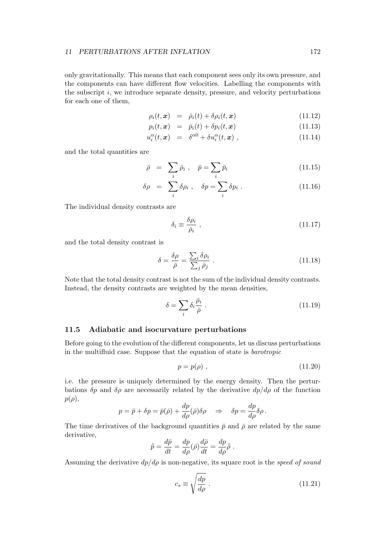only gravitationally. This means that each component sees only its own pressure, and the components can have different flow velocities. Labelling the components with the subscript  $i$ , we introduce separate density, pressure, and velocity perturbations for each one of them,

$$
\rho_i(t, \mathbf{x}) = \bar{\rho}_i(t) + \delta \rho_i(t, \mathbf{x}) \tag{11.12}
$$

$$
p_i(t, \mathbf{x}) = \bar{p}_i(t) + \delta p_i(t, \mathbf{x}) \qquad (11.13)
$$

$$
u_i^{\alpha}(t, \mathbf{x}) = \delta^{\alpha 0} + \delta u_i^{\alpha}(t, \mathbf{x}), \qquad (11.14)
$$

and the total quantities are

$$
\bar{\rho} = \sum_{i} \bar{\rho}_i , \quad \bar{p} = \sum_{i} \bar{p}_i
$$
\n(11.15)

$$
\delta \rho = \sum_{i} \delta \rho_i , \quad \delta p = \sum_{i} \delta p_i . \tag{11.16}
$$

The individual density contrasts are

$$
\delta_i \equiv \frac{\delta \rho_i}{\bar{\rho}_i} \,, \tag{11.17}
$$

and the total density contrast is

$$
\delta = \frac{\delta \rho}{\bar{\rho}} = \frac{\sum_{i} \delta \rho_i}{\sum_{j} \bar{\rho}_j} \,. \tag{11.18}
$$

Note that the total density contrast is not the sum of the individual density contrasts. Instead, the density contrasts are weighted by the mean densities,

$$
\delta = \sum_{i} \delta_i \frac{\bar{\rho}_i}{\bar{\rho}} \tag{11.19}
$$

# 11.5 Adiabatic and isocurvature perturbations

Before going to the evolution of the different components, let us discuss perturbations in the multifluid case. Suppose that the equation of state is barotropic

$$
p = p(\rho) \tag{11.20}
$$

i.e. the pressure is uniquely determined by the energy density. Then the perturbations  $\delta p$  and  $\delta \rho$  are necessarily related by the derivative  $dp/d\rho$  of the function  $p(\rho)$ ,

$$
p = \bar{p} + \delta p = \bar{p}(\bar{\rho}) + \frac{dp}{d\rho}(\bar{\rho})\delta\rho \quad \Rightarrow \quad \delta p = \frac{dp}{d\rho}\delta\rho.
$$

The time derivatives of the background quantities  $\bar{p}$  and  $\bar{\rho}$  are related by the same derivative,

$$
\dot{\bar{p}} = \frac{d\bar{p}}{dt} = \frac{dp}{d\rho}(\bar{\rho})\frac{d\bar{\rho}}{dt} = \frac{dp}{d\rho}\dot{\bar{\rho}}.
$$

Assuming the derivative  $dp/d\rho$  is non-negative, its square root is the speed of sound

$$
c_s \equiv \sqrt{\frac{dp}{d\rho}} \; . \tag{11.21}
$$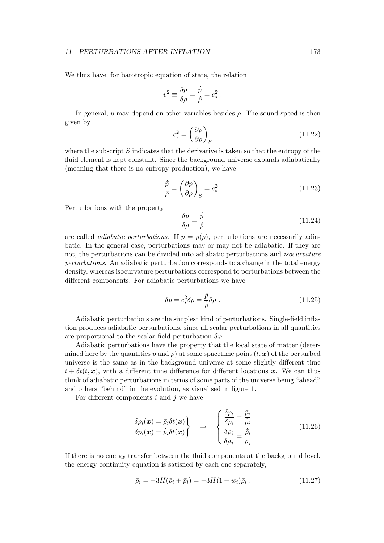We thus have, for barotropic equation of state, the relation

$$
v^2 \equiv \frac{\delta p}{\delta \rho} = \frac{\dot{\bar{p}}}{\dot{\bar{\rho}}} = c_s^2 \ .
$$

In general,  $p$  may depend on other variables besides  $\rho$ . The sound speed is then given by

$$
c_s^2 = \left(\frac{\partial p}{\partial \rho}\right)_S \tag{11.22}
$$

where the subscript  $S$  indicates that the derivative is taken so that the entropy of the fluid element is kept constant. Since the background universe expands adiabatically (meaning that there is no entropy production), we have

$$
\frac{\dot{\bar{p}}}{\dot{\bar{\rho}}} = \left(\frac{\partial p}{\partial \rho}\right)_{S} = c_s^2.
$$
\n(11.23)

Perturbations with the property

$$
\frac{\delta p}{\delta \rho} = \frac{\dot{\bar{p}}}{\dot{\bar{\rho}}} \tag{11.24}
$$

are called *adiabatic perturbations*. If  $p = p(\rho)$ , perturbations are necessarily adiabatic. In the general case, perturbations may or may not be adiabatic. If they are not, the perturbations can be divided into adiabatic perturbations and isocurvature perturbations. An adiabatic perturbation corresponds to a change in the total energy density, whereas isocurvature perturbations correspond to perturbations between the different components. For adiabatic perturbations we have

$$
\delta p = c_s^2 \delta \rho = \frac{\dot{\bar{p}}}{\dot{\bar{\rho}}} \delta \rho \ . \tag{11.25}
$$

Adiabatic perturbations are the simplest kind of perturbations. Single-field inflation produces adiabatic perturbations, since all scalar perturbations in all quantities are proportional to the scalar field perturbation  $\delta\varphi$ .

Adiabatic perturbations have the property that the local state of matter (determined here by the quantities p and  $\rho$ ) at some spacetime point  $(t, x)$  of the perturbed universe is the same as in the background universe at some slightly different time  $t + \delta t(t, x)$ , with a different time difference for different locations x. We can thus think of adiabatic perturbations in terms of some parts of the universe being "ahead" and others "behind" in the evolution, as visualised in figure 1.

For different components  $i$  and  $j$  we have

$$
\delta \rho_i(\boldsymbol{x}) = \dot{\bar{\rho}}_i \delta t(\boldsymbol{x}) \n\delta p_i(\boldsymbol{x}) = \dot{\bar{p}}_i \delta t(\boldsymbol{x})
$$
\n
$$
\Rightarrow \begin{cases}\n\frac{\delta p_i}{\delta \rho_i} = \frac{\dot{\bar{p}}_i}{\dot{\bar{\rho}}_i} \\
\frac{\delta \rho_i}{\delta \rho_j} = \frac{\dot{\bar{\rho}}_i}{\dot{\bar{\rho}}_j}\n\end{cases}
$$
\n(11.26)

If there is no energy transfer between the fluid components at the background level, the energy continuity equation is satisfied by each one separately,

$$
\dot{\bar{\rho}}_i = -3H(\bar{\rho}_i + \bar{p}_i) = -3H(1 + w_i)\bar{\rho}_i, \qquad (11.27)
$$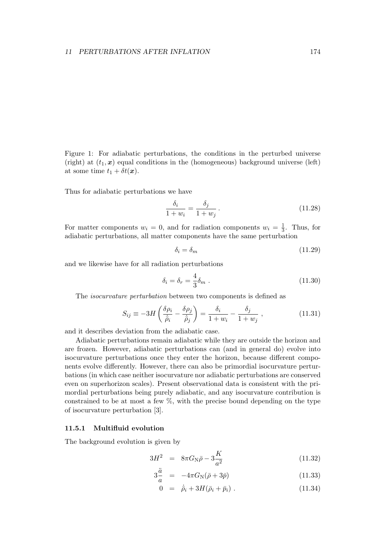Figure 1: For adiabatic perturbations, the conditions in the perturbed universe (right) at  $(t_1, x)$  equal conditions in the (homogeneous) background universe (left) at some time  $t_1 + \delta t(\mathbf{x})$ .

Thus for adiabatic perturbations we have

$$
\frac{\delta_i}{1+w_i} = \frac{\delta_j}{1+w_j} \,. \tag{11.28}
$$

For matter components  $w_i = 0$ , and for radiation components  $w_i = \frac{1}{3}$  $\frac{1}{3}$ . Thus, for adiabatic perturbations, all matter components have the same perturbation

$$
\delta_i = \delta_m \tag{11.29}
$$

and we likewise have for all radiation perturbations

$$
\delta_i = \delta_r = \frac{4}{3}\delta_m \tag{11.30}
$$

The isocurvature perturbation between two components is defined as

$$
S_{ij} \equiv -3H\left(\frac{\delta\rho_i}{\dot{\bar{\rho}}_i} - \frac{\delta\rho_j}{\dot{\bar{\rho}}_j}\right) = \frac{\delta_i}{1+w_i} - \frac{\delta_j}{1+w_j} \,,\tag{11.31}
$$

and it describes deviation from the adiabatic case.

Adiabatic perturbations remain adiabatic while they are outside the horizon and are frozen. However, adiabatic perturbations can (and in general do) evolve into isocurvature perturbations once they enter the horizon, because different components evolve differently. However, there can also be primordial isocurvature perturbations (in which case neither isocurvature nor adiabatic perturbations are conserved even on superhorizon scales). Present observational data is consistent with the primordial perturbations being purely adiabatic, and any isocurvature contribution is constrained to be at most a few  $\%$ , with the precise bound depending on the type of isocurvature perturbation [3].

# 11.5.1 Multifluid evolution

The background evolution is given by

$$
3H^2 = 8\pi G_N \bar{\rho} - 3\frac{K}{a^2}
$$
 (11.32)

$$
3\frac{a}{a} = -4\pi G_{\rm N}(\bar{\rho} + 3\bar{p})\tag{11.33}
$$

$$
0 = \dot{\bar{\rho}}_i + 3H(\bar{\rho}_i + \bar{p}_i) \tag{11.34}
$$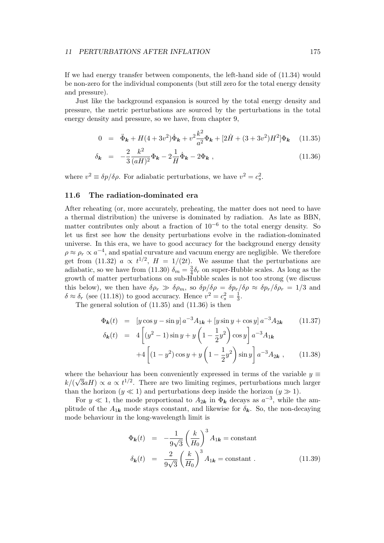If we had energy transfer between components, the left-hand side of (11.34) would be non-zero for the individual components (but still zero for the total energy density and pressure).

Just like the background expansion is sourced by the total energy density and pressure, the metric perturbations are sourced by the perturbations in the total energy density and pressure, so we have, from chapter 9,

$$
0 = \ddot{\Phi}_{\mathbf{k}} + H(4+3v^2)\dot{\Phi}_{\mathbf{k}} + v^2 \frac{k^2}{a^2} \Phi_{\mathbf{k}} + [2\dot{H} + (3+3v^2)H^2] \Phi_{\mathbf{k}} \quad (11.35)
$$

$$
\delta_{\mathbf{k}} = -\frac{2}{3} \frac{k^2}{(aH)^2} \Phi_{\mathbf{k}} - 2 \frac{1}{H} \dot{\Phi}_{\mathbf{k}} - 2 \Phi_{\mathbf{k}} , \qquad (11.36)
$$

where  $v^2 \equiv \delta p/\delta \rho$ . For adiabatic perturbations, we have  $v^2 = c_s^2$ .

# 11.6 The radiation-dominated era

After reheating (or, more accurately, preheating, the matter does not need to have a thermal distribution) the universe is dominated by radiation. As late as BBN, matter contributes only about a fraction of  $10^{-6}$  to the total energy density. So let us first see how the density perturbations evolve in the radiation-dominated universe. In this era, we have to good accuracy for the background energy density  $\rho \approx \rho_r \propto a^{-4}$ , and spatial curvature and vacuum energy are negligible. We therefore get from (11.32)  $a \propto t^{1/2}$ ,  $H = 1/(2t)$ . We assume that the perturbations are adiabatic, so we have from (11.30)  $\delta_m = \frac{3}{4}$  $\frac{3}{4}\delta_r$  on super-Hubble scales. As long as the growth of matter perturbations on sub-Hubble scales is not too strong (we discuss this below), we then have  $\delta \rho_r \gg \delta \rho_m$ , so  $\delta p/\delta \rho = \delta p_r/\delta \rho \approx \delta p_r/\delta \rho_r = 1/3$  and  $\delta \approx \delta_r$  (see (11.18)) to good accuracy. Hence  $v^2 = c_s^2 = \frac{1}{3}$  $\frac{1}{3}$ .

The general solution of (11.35) and (11.36) is then

$$
\Phi_{\mathbf{k}}(t) = [y \cos y - \sin y] a^{-3} A_{1\mathbf{k}} + [y \sin y + \cos y] a^{-3} A_{2\mathbf{k}} \qquad (11.37)
$$
  
\n
$$
\delta_{\mathbf{k}}(t) = 4 \left[ (y^2 - 1) \sin y + y \left( 1 - \frac{1}{2} y^2 \right) \cos y \right] a^{-3} A_{1\mathbf{k}}
$$
  
\n
$$
+ 4 \left[ (1 - y^2) \cos y + y \left( 1 - \frac{1}{2} y^2 \right) \sin y \right] a^{-3} A_{2\mathbf{k}}, \qquad (11.38)
$$

where the behaviour has been conveniently expressed in terms of the variable  $y \equiv$  $k/(\sqrt{3}aH) \propto a \propto t^{1/2}$ . There are two limiting regimes, perturbations much larger than the horizon  $(y \ll 1)$  and perturbations deep inside the horizon  $(y \gg 1)$ .

For  $y \ll 1$ , the mode proportional to  $A_{2k}$  in  $\Phi_{k}$  decays as  $a^{-3}$ , while the amplitude of the  $A_{1k}$  mode stays constant, and likewise for  $\delta_k$ . So, the non-decaying mode behaviour in the long-wavelength limit is

$$
\Phi_{\mathbf{k}}(t) = -\frac{1}{9\sqrt{3}} \left(\frac{k}{H_0}\right)^3 A_{1\mathbf{k}} = \text{constant}
$$
\n
$$
\delta_{\mathbf{k}}(t) = \frac{2}{9\sqrt{3}} \left(\frac{k}{H_0}\right)^3 A_{1\mathbf{k}} = \text{constant}.
$$
\n(11.39)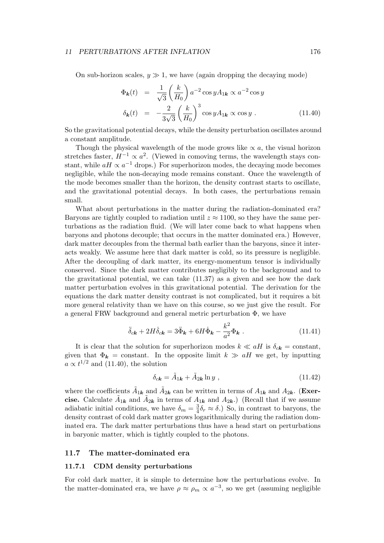On sub-horizon scales,  $y \gg 1$ , we have (again dropping the decaying mode)

$$
\Phi_{\mathbf{k}}(t) = \frac{1}{\sqrt{3}} \left(\frac{k}{H_0}\right) a^{-2} \cos y A_{1\mathbf{k}} \propto a^{-2} \cos y
$$
\n
$$
\delta_{\mathbf{k}}(t) = -\frac{2}{3\sqrt{3}} \left(\frac{k}{H_0}\right)^3 \cos y A_{1\mathbf{k}} \propto \cos y \ . \tag{11.40}
$$

So the gravitational potential decays, while the density perturbation oscillates around a constant amplitude.

Though the physical wavelength of the mode grows like  $\alpha$  a, the visual horizon stretches faster,  $H^{-1} \propto a^2$ . (Viewed in comoving terms, the wavelength stays constant, while  $aH \propto a^{-1}$  drops.) For superhorizon modes, the decaying mode becomes negligible, while the non-decaying mode remains constant. Once the wavelength of the mode becomes smaller than the horizon, the density contrast starts to oscillate, and the gravitational potential decays. In both cases, the perturbations remain small.

What about perturbations in the matter during the radiation-dominated era? Baryons are tightly coupled to radiation until  $z \approx 1100$ , so they have the same perturbations as the radiation fluid. (We will later come back to what happens when baryons and photons decouple; that occurs in the matter dominated era.) However, dark matter decouples from the thermal bath earlier than the baryons, since it interacts weakly. We assume here that dark matter is cold, so its pressure is negligible. After the decoupling of dark matter, its energy-momentum tensor is individually conserved. Since the dark matter contributes negligibly to the background and to the gravitational potential, we can take (11.37) as a given and see how the dark matter perturbation evolves in this gravitational potential. The derivation for the equations the dark matter density contrast is not complicated, but it requires a bit more general relativity than we have on this course, so we just give the result. For a general FRW background and general metric perturbation Φ, we have

$$
\ddot{\delta}_{c\mathbf{k}} + 2H\dot{\delta}_{c\mathbf{k}} = 3\ddot{\Phi}_{\mathbf{k}} + 6H\dot{\Phi}_{\mathbf{k}} - \frac{k^2}{a^2}\Phi_{\mathbf{k}} . \qquad (11.41)
$$

It is clear that the solution for superhorizon modes  $k \ll aH$  is  $\delta_{ck} = \text{constant}$ , given that  $\Phi_{\mathbf{k}} = \text{constant}$ . In the opposite limit  $k \gg aH$  we get, by inputting  $a \propto t^{1/2}$  and (11.40), the solution

$$
\delta_{c\mathbf{k}} = \tilde{A}_{1\mathbf{k}} + \tilde{A}_{2\mathbf{k}} \ln y \tag{11.42}
$$

where the coefficients  $\tilde{A}_{1k}$  and  $\tilde{A}_{2k}$  can be written in terms of  $A_{1k}$  and  $A_{2k}$ . (Exercise. Calculate  $\tilde{A}_{1k}$  and  $\tilde{A}_{2k}$  in terms of  $A_{1k}$  and  $A_{2k}$ .) (Recall that if we assume adiabatic initial conditions, we have  $\delta_m = \frac{3}{4}$  $\frac{3}{4}\delta_r \approx \delta$ .) So, in contrast to baryons, the density contrast of cold dark matter grows logarithmically during the radiation dominated era. The dark matter perturbations thus have a head start on perturbations in baryonic matter, which is tightly coupled to the photons.

# 11.7 The matter-dominated era

#### 11.7.1 CDM density perturbations

For cold dark matter, it is simple to determine how the perturbations evolve. In the matter-dominated era, we have  $\rho \approx \rho_m \propto a^{-3}$ , so we get (assuming negligible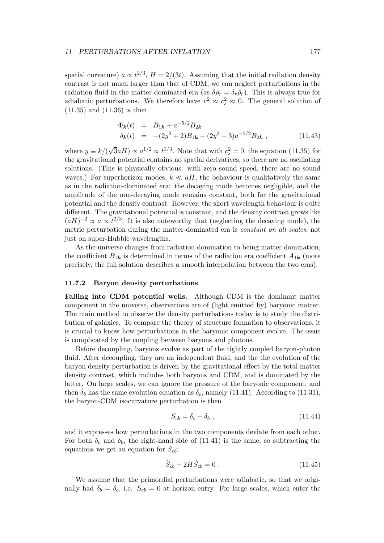spatial curvature)  $a \propto t^{2/3}$ ,  $H = 2/(3t)$ . Assuming that the initial radiation density contrast is not much larger than that of CDM, we can neglect perturbations in the radiation fluid in the matter-dominated era (as  $\delta \rho_r = \delta_r \bar{\rho}_r$ ). This is always true for adiabatic perturbations. We therefore have  $v^2 \approx c_s^2 \approx 0$ . The general solution of (11.35) and (11.36) is then

$$
\Phi_{\mathbf{k}}(t) = B_{1\mathbf{k}} + a^{-5/2} B_{2\mathbf{k}}
$$
\n
$$
\delta_{\mathbf{k}}(t) = -(2y^2 + 2)B_{1\mathbf{k}} - (2y^2 - 3)a^{-5/2} B_{2\mathbf{k}}, \qquad (11.43)
$$

where  $y \equiv k/($ √  $\overline{3}aH \propto a^{1/2} \propto t^{1/3}$ . Note that with  $c_s^2 = 0$ , the equation (11.35) for the gravitational potential contains no spatial derivatives, so there are no oscillating solutions. (This is physically obvious: with zero sound speed, there are no sound waves.) For superhorizon modes,  $k \ll aH$ , the behaviour is qualitatively the same as in the radiation-dominated era: the decaying mode becomes negligible, and the amplitude of the non-decaying mode remains constant, both for the gravitational potential and the density contrast. However, the short wavelength behaviour is quite different. The gravitational potential is constant, and the density contrast grows like  $(aH)^{-2} \propto a \propto t^{2/3}$ . It is also noteworthy that (neglecting the decaying mode), the metric perturbation during the matter-dominated era is constant on all scales, not just on super-Hubble wavelengths.

As the universe changes from radiation domination to being matter domination, the coefficient  $B_{1k}$  is determined in terms of the radiation era coefficient  $A_{1k}$  (more precisely, the full solution describes a smooth interpolation between the two eras).

#### 11.7.2 Baryon density perturbations

Falling into CDM potential wells. Although CDM is the dominant matter component in the universe, observations are of (light emitted by) baryonic matter. The main method to observe the density perturbations today is to study the distribution of galaxies. To compare the theory of structure formation to observations, it is crucial to know how perturbations in the baryonic component evolve. The issue is complicated by the coupling between baryons and photons.

Before decoupling, baryons evolve as part of the tightly coupled baryon-photon fluid. After decoupling, they are an independent fluid, and the the evolution of the baryon density perturbation is driven by the gravitational effect by the total matter density contrast, which includes both baryons and CDM, and is dominated by the latter. On large scales, we can ignore the pressure of the baryonic component, and then  $\delta_b$  has the same evolution equation as  $\delta_c$ , namely (11.41). According to (11.31), the baryon-CDM isocurvature perturbation is then

$$
S_{cb} = \delta_c - \delta_b \tag{11.44}
$$

and it expresses how perturbations in the two components deviate from each other. For both  $\delta_c$  and  $\delta_b$ , the right-hand side of (11.41) is the same, so subtracting the equations we get an equation for  $S_{cb}$ :

$$
\ddot{S}_{cb} + 2H\dot{S}_{cb} = 0 \tag{11.45}
$$

We assume that the primordial perturbations were adiabatic, so that we originally had  $\delta_b = \delta_c$ , i.e.  $S_{cb} = 0$  at horizon entry. For large scales, which enter the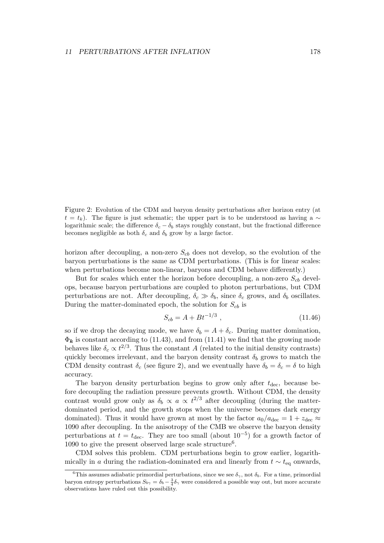Figure 2: Evolution of the CDM and baryon density perturbations after horizon entry (at  $t = t_k$ ). The figure is just schematic; the upper part is to be understood as having a ∼ logarithmic scale; the difference  $\delta_c - \delta_b$  stays roughly constant, but the fractional difference becomes negligible as both  $\delta_c$  and  $\delta_b$  grow by a large factor.

horizon after decoupling, a non-zero  $S_{cb}$  does not develop, so the evolution of the baryon perturbations is the same as CDM perturbations. (This is for linear scales: when perturbations become non-linear, baryons and CDM behave differently.)

But for scales which enter the horizon before decoupling, a non-zero  $S_{cb}$  develops, because baryon perturbations are coupled to photon perturbations, but CDM perturbations are not. After decoupling,  $\delta_c \gg \delta_b$ , since  $\delta_c$  grows, and  $\delta_b$  oscillates. During the matter-dominated epoch, the solution for  $S_{cb}$  is

$$
S_{cb} = A + Bt^{-1/3} \t{11.46}
$$

so if we drop the decaying mode, we have  $\delta_b = A + \delta_c$ . During matter domination,  $\Phi_{\mathbf{k}}$  is constant according to (11.43), and from (11.41) we find that the growing mode behaves like  $\delta_c \propto t^{2/3}$ . Thus the constant A (related to the initial density contrasts) quickly becomes irrelevant, and the baryon density contrast  $\delta_b$  grows to match the CDM density contrast  $\delta_c$  (see figure 2), and we eventually have  $\delta_b = \delta_c = \delta$  to high accuracy.

The baryon density perturbation begins to grow only after  $t_{\text{dec}}$ , because before decoupling the radiation pressure prevents growth. Without CDM, the density contrast would grow only as  $\delta_b \propto a \propto t^{2/3}$  after decoupling (during the matterdominated period, and the growth stops when the universe becomes dark energy dominated). Thus it would have grown at most by the factor  $a_0/a_{\text{dec}} = 1 + z_{\text{dec}} \approx$ 1090 after decoupling. In the anisotropy of the CMB we observe the baryon density perturbations at  $t = t_{\text{dec}}$ . They are too small (about  $10^{-5}$ ) for a growth factor of 1090 to give the present observed large scale structure<sup>6</sup>.

CDM solves this problem. CDM perturbations begin to grow earlier, logarithmically in a during the radiation-dominated era and linearly from  $t \sim t_{\text{eq}}$  onwards,

<sup>&</sup>lt;sup>6</sup>This assumes adiabatic primordial perturbations, since we see  $\delta_{\gamma}$ , not  $\delta_{b}$ . For a time, primordial baryon entropy perturbations  $S_{b\gamma} = \delta_b - \frac{3}{4}\delta_\gamma$  were considered a possible way out, but more accurate observations have ruled out this possibility.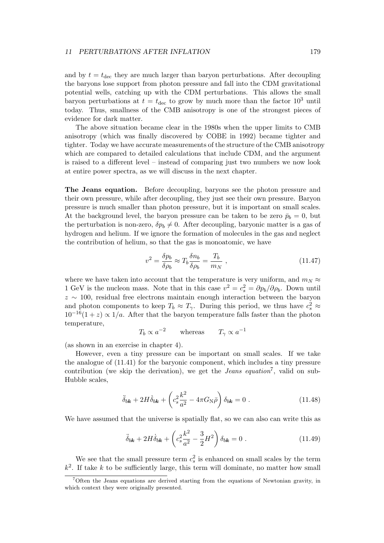and by  $t = t_{\text{dec}}$  they are much larger than baryon perturbations. After decoupling the baryons lose support from photon pressure and fall into the CDM gravitational potential wells, catching up with the CDM perturbations. This allows the small baryon perturbations at  $t = t_{\text{dec}}$  to grow by much more than the factor  $10^3$  until today. Thus, smallness of the CMB anisotropy is one of the strongest pieces of evidence for dark matter.

The above situation became clear in the 1980s when the upper limits to CMB anisotropy (which was finally discovered by COBE in 1992) became tighter and tighter. Today we have accurate measurements of the structure of the CMB anisotropy which are compared to detailed calculations that include CDM, and the argument is raised to a different level – instead of comparing just two numbers we now look at entire power spectra, as we will discuss in the next chapter.

The Jeans equation. Before decoupling, baryons see the photon pressure and their own pressure, while after decoupling, they just see their own pressure. Baryon pressure is much smaller than photon pressure, but it is important on small scales. At the background level, the baryon pressure can be taken to be zero  $\bar{p}_b = 0$ , but the perturbation is non-zero,  $\delta p_b \neq 0$ . After decoupling, baryonic matter is a gas of hydrogen and helium. If we ignore the formation of molecules in the gas and neglect the contribution of helium, so that the gas is monoatomic, we have

$$
v^2 = \frac{\delta p_b}{\delta \rho_b} \approx T_b \frac{\delta n_b}{\delta \rho_b} = \frac{T_b}{m_N} , \qquad (11.47)
$$

where we have taken into account that the temperature is very uniform, and  $m_N \approx$ 1 GeV is the nucleon mass. Note that in this case  $v^2 = c_s^2 = \partial p_b / \partial \rho_b$ . Down until z ∼ 100, residual free electrons maintain enough interaction between the baryon and photon components to keep  $T_b \approx T_\gamma$ . During this period, we thus have  $c_s^2 \approx$  $10^{-16}(1+z) \propto 1/a$ . After that the baryon temperature falls faster than the photon temperature,

$$
T_b \propto a^{-2}
$$
 whereas  $T_\gamma \propto a^{-1}$ 

(as shown in an exercise in chapter 4).

However, even a tiny pressure can be important on small scales. If we take the analogue of (11.41) for the baryonic component, which includes a tiny pressure contribution (we skip the derivation), we get the *Jeans equation*<sup>7</sup>, valid on sub-Hubble scales,

$$
\ddot{\delta}_{b\mathbf{k}} + 2H\dot{\delta}_{b\mathbf{k}} + \left(c_s^2 \frac{k^2}{a^2} - 4\pi G_N \bar{\rho}\right) \delta_{b\mathbf{k}} = 0. \qquad (11.48)
$$

We have assumed that the universe is spatially flat, so we can also can write this as

$$
\ddot{\delta}_{b\mathbf{k}} + 2H\dot{\delta}_{b\mathbf{k}} + \left(c_s^2 \frac{k^2}{a^2} - \frac{3}{2}H^2\right)\delta_{b\mathbf{k}} = 0.
$$
 (11.49)

We see that the small pressure term  $c_s^2$  is enhanced on small scales by the term  $k<sup>2</sup>$ . If take k to be sufficiently large, this term will dominate, no matter how small

<sup>7</sup>Often the Jeans equations are derived starting from the equations of Newtonian gravity, in which context they were originally presented.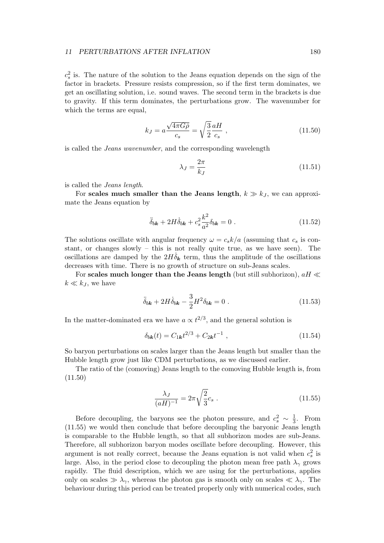$c_s^2$  is. The nature of the solution to the Jeans equation depends on the sign of the factor in brackets. Pressure resists compression, so if the first term dominates, we get an oscillating solution, i.e. sound waves. The second term in the brackets is due to gravity. If this term dominates, the perturbations grow. The wavenumber for which the terms are equal,

$$
k_J = a \frac{\sqrt{4\pi G\bar{\rho}}}{c_s} = \sqrt{\frac{3}{2}} \frac{aH}{c_s} \,,\tag{11.50}
$$

is called the Jeans wavenumber, and the corresponding wavelength

$$
\lambda_J = \frac{2\pi}{k_J} \tag{11.51}
$$

is called the Jeans length.

For scales much smaller than the Jeans length,  $k \gg k<sub>J</sub>$ , we can approximate the Jeans equation by

$$
\ddot{\delta}_{b\mathbf{k}} + 2H\dot{\delta}_{b\mathbf{k}} + c_s^2 \frac{k^2}{a^2} \delta_{b\mathbf{k}} = 0 \tag{11.52}
$$

The solutions oscillate with angular frequency  $\omega = c_s k/a$  (assuming that  $c_s$  is constant, or changes slowly – this is not really quite true, as we have seen). The oscillations are damped by the  $2H\delta_{\bf k}$  term, thus the amplitude of the oscillations decreases with time. There is no growth of structure on sub-Jeans scales.

For scales much longer than the Jeans length (but still subhorizon),  $aH \ll$  $k \ll k_J$ , we have

$$
\ddot{\delta}_{b\mathbf{k}} + 2H\dot{\delta}_{b\mathbf{k}} - \frac{3}{2}H^2\delta_{b\mathbf{k}} = 0.
$$
 (11.53)

In the matter-dominated era we have  $a \propto t^{2/3}$ , and the general solution is

$$
\delta_{b\mathbf{k}}(t) = C_{1\mathbf{k}}t^{2/3} + C_{2\mathbf{k}}t^{-1} \,, \tag{11.54}
$$

So baryon perturbations on scales larger than the Jeans length but smaller than the Hubble length grow just like CDM perturbations, as we discussed earlier.

The ratio of the (comoving) Jeans length to the comoving Hubble length is, from  $(11.50)$ 

$$
\frac{\lambda_J}{(aH)^{-1}} = 2\pi \sqrt{\frac{2}{3}} c_s \ . \tag{11.55}
$$

Before decoupling, the baryons see the photon pressure, and  $c_s^2 \sim \frac{1}{3}$  $\frac{1}{3}$ . From (11.55) we would then conclude that before decoupling the baryonic Jeans length is comparable to the Hubble length, so that all subhorizon modes are sub-Jeans. Therefore, all subhorizon baryon modes oscillate before decoupling. However, this argument is not really correct, because the Jeans equation is not valid when  $c_s^2$  is large. Also, in the period close to decoupling the photon mean free path  $\lambda_{\gamma}$  grows rapidly. The fluid description, which we are using for the perturbations, applies only on scales  $\gg \lambda_{\gamma}$ , whereas the photon gas is smooth only on scales  $\ll \lambda_{\gamma}$ . The behaviour during this period can be treated properly only with numerical codes, such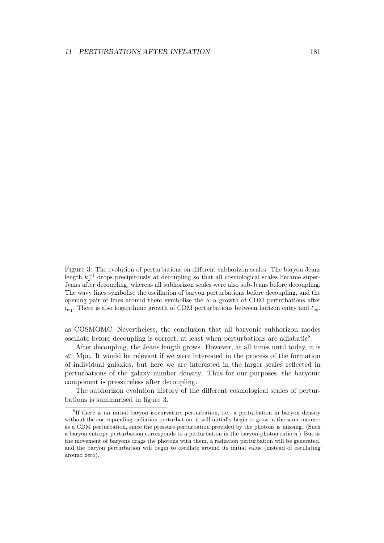Figure 3: The evolution of perturbations on different subhorizon scales. The baryon Jeans length  $k_J^{-1}$  drops precipitously at decoupling so that all cosmological scales became super-Jeans after decoupling, whereas all subhorizon scales were also sub-Jeans before decoupling. The wavy lines symbolise the oscillation of baryon perturbations before decoupling, and the opening pair of lines around them symbolise the  $\propto a$  growth of CDM perturbations after  $t_{\text{eq}}$ . There is also logarithmic growth of CDM perturbations between horizon entry and  $t_{\text{eq}}$ .

as COSMOMC. Nevertheless, the conclusion that all baryonic subhorizon modes oscillate before decoupling is correct, at least when perturbations are adiabatic<sup>8</sup>.

After decoupling, the Jeans length grows. However, at all times until today, it is  $\ll$  Mpc. It would be relevant if we were interested in the process of the formation of individual galaxies, but here we are interested in the larger scales reflected in perturbations of the galaxy number density. Thus for our purposes, the baryonic component is pressureless after decoupling.

The subhorizon evolution history of the different cosmological scales of perturbations is summarised in figure 3.

<sup>8</sup> If there is an initial baryon isocurvature perturbation, i.e. a perturbation in baryon density without the corresponding radiation perturbation, it will initially begin to grow in the same manner as a CDM perturbation, since the pressure perturbation provided by the photons is missing. (Such a baryon entropy perturbation corresponds to a perturbation in the baryon-photon ratio  $\eta$ .) But as the movement of baryons drags the photons with them, a radiation perturbation will be generated, and the baryon perturbation will begin to oscillate around its initial value (instead of oscillating around zero).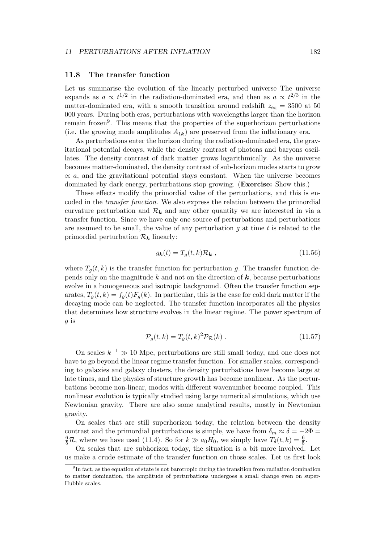# 11.8 The transfer function

Let us summarise the evolution of the linearly perturbed universe The universe expands as  $a \propto t^{1/2}$  in the radiation-dominated era, and then as  $a \propto t^{2/3}$  in the matter-dominated era, with a smooth transition around redshift  $z_{eq} = 3500$  at 50 000 years. During both eras, perturbations with wavelengths larger than the horizon remain frozen<sup>9</sup>. This means that the properties of the superhorizon perturbations (i.e. the growing mode amplitudes  $A_{1k}$ ) are preserved from the inflationary era.

As perturbations enter the horizon during the radiation-dominated era, the gravitational potential decays, while the density contrast of photons and baryons oscillates. The density contrast of dark matter grows logarithmically. As the universe becomes matter-dominated, the density contrast of sub-horizon modes starts to grow  $\propto a$ , and the gravitational potential stays constant. When the universe becomes dominated by dark energy, perturbations stop growing. (Exercise: Show this.)

These effects modify the primordial value of the perturbations, and this is encoded in the transfer function. We also express the relation between the primordial curvature perturbation and  $\mathcal{R}_k$  and any other quantity we are interested in via a transfer function. Since we have only one source of perturbations and perturbations are assumed to be small, the value of any perturbation  $q$  at time  $t$  is related to the primordial perturbation  $\mathcal{R}_k$  linearly:

$$
g_{\mathbf{k}}(t) = T_g(t, k)\mathcal{R}_{\mathbf{k}} \t\t(11.56)
$$

where  $T_q(t, k)$  is the transfer function for perturbation g. The transfer function depends only on the magnitude k and not on the direction of  $k$ , because perturbations evolve in a homogeneous and isotropic background. Often the transfer function separates,  $T_g(t, k) = f_g(t)F_g(k)$ . In particular, this is the case for cold dark matter if the decaying mode can be neglected. The transfer function incorporates all the physics that determines how structure evolves in the linear regime. The power spectrum of g is

$$
\mathcal{P}_g(t,k) = T_g(t,k)^2 \mathcal{P}_\mathcal{R}(k) \tag{11.57}
$$

On scales  $k^{-1} \gg 10$  Mpc, perturbations are still small today, and one does not have to go beyond the linear regime transfer function. For smaller scales, corresponding to galaxies and galaxy clusters, the density perturbations have become large at late times, and the physics of structure growth has become nonlinear. As the perturbations become non-linear, modes with different wavenumber become coupled. This nonlinear evolution is typically studied using large numerical simulations, which use Newtonian gravity. There are also some analytical results, mostly in Newtonian gravity.

On scales that are still superhorizon today, the relation between the density contrast and the primordial perturbations is simple, we have from  $\delta_m \approx \delta = -2\Phi =$  $\frac{6}{5}R$ , where we have used (11.4). So for  $k \gg a_0H_0$ , we simply have  $T_\delta(t, k) = \frac{6}{5}$ .

On scales that are subhorizon today, the situation is a bit more involved. Let us make a crude estimate of the transfer function on those scales. Let us first look

<sup>&</sup>lt;sup>9</sup>In fact, as the equation of state is not barotropic during the transition from radiation domination to matter domination, the amplitude of perturbations undergoes a small change even on super-Hubble scales.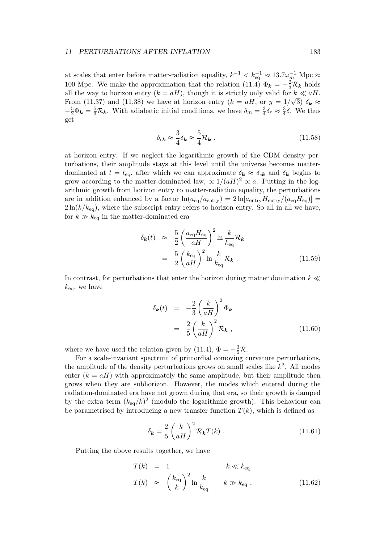at scales that enter before matter-radiation equality,  $k^{-1} < k_{\text{eq}}^{-1} \approx 13.7 \omega_m^{-1} \text{ Mpc} \approx$ 100 Mpc. We make the approximation that the relation (11.4)  $\Phi_{\bf k} = -\frac{2}{3} \mathcal{R}_{\bf k}$  holds all the way to horizon entry  $(k = aH)$ , though it is strictly only valid for  $k \ll aH$ . From (11.37) and (11.38) we have at horizon entry  $(k = aH, \text{ or } y = 1/\sqrt{3}) \delta_k \approx$  $-\frac{5}{2}\Phi_{\mathbf{k}}=\frac{5}{3}\mathcal{R}_{\mathbf{k}}$ . With adiabatic initial conditions, we have  $\delta_m=\frac{3}{4}$  $\frac{3}{4}\delta_r \approx \frac{3}{4}$  $\frac{3}{4}\delta$ . We thus get

$$
\delta_{c\mathbf{k}} \approx \frac{3}{4} \delta_{\mathbf{k}} \approx \frac{5}{4} \mathcal{R}_{\mathbf{k}} \ . \tag{11.58}
$$

at horizon entry. If we neglect the logarithmic growth of the CDM density perturbations, their amplitude stays at this level until the universe becomes matterdominated at  $t = t_{eq}$ , after which we can approximate  $\delta_{\bf k} \approx \delta_{ck}$  and  $\delta_{\bf k}$  begins to grow according to the matter-dominated law,  $\propto 1/(aH)^2 \propto a$ . Putting in the logarithmic growth from horizon entry to matter-radiation equality, the perturbations are in addition enhanced by a factor  $\ln(a_{eq}/a_{entry}) = 2 \ln[a_{entry}H_{entry}/(a_{eq}H_{eq})] =$  $2\ln(k/k_{\text{eq}})$ , where the subscript entry refers to horizon entry. So all in all we have, for  $k \gg k_{\text{eq}}$  in the matter-dominated era

$$
\delta_{\mathbf{k}}(t) \approx \frac{5}{2} \left( \frac{a_{\text{eq}} H_{\text{eq}}}{aH} \right)^2 \ln \frac{k}{k_{\text{eq}}} \mathcal{R}_{\mathbf{k}}
$$

$$
= \frac{5}{2} \left( \frac{k_{\text{eq}}}{aH} \right)^2 \ln \frac{k}{k_{\text{eq}}} \mathcal{R}_{\mathbf{k}} . \tag{11.59}
$$

In contrast, for perturbations that enter the horizon during matter domination  $k \ll$  $k_{\text{eq}}$ , we have

$$
\delta_{\mathbf{k}}(t) = -\frac{2}{3} \left(\frac{k}{aH}\right)^2 \Phi_{\mathbf{k}}
$$

$$
= \frac{2}{5} \left(\frac{k}{aH}\right)^2 \mathcal{R}_{\mathbf{k}} , \qquad (11.60)
$$

where we have used the relation given by (11.4),  $\Phi = -\frac{3}{5}\mathcal{R}$ .

For a scale-invariant spectrum of primordial comoving curvature perturbations, the amplitude of the density perturbations grows on small scales like  $k^2$ . All modes enter  $(k = aH)$  with approximately the same amplitude, but their amplitude then grows when they are subhorizon. However, the modes which entered during the radiation-dominated era have not grown during that era, so their growth is damped by the extra term  $(k_{eq}/k)^2$  (modulo the logarithmic growth). This behaviour can be parametrised by introducing a new transfer function  $T(k)$ , which is defined as

$$
\delta_{\mathbf{k}} = \frac{2}{5} \left( \frac{k}{aH} \right)^2 \mathcal{R}_{\mathbf{k}} T(k) . \qquad (11.61)
$$

Putting the above results together, we have

$$
T(k) = 1 \t k \ll k_{\text{eq}}
$$
  

$$
T(k) \approx \left(\frac{k_{\text{eq}}}{k}\right)^2 \ln \frac{k}{k_{\text{eq}}} \t k \gg k_{\text{eq}},
$$
 (11.62)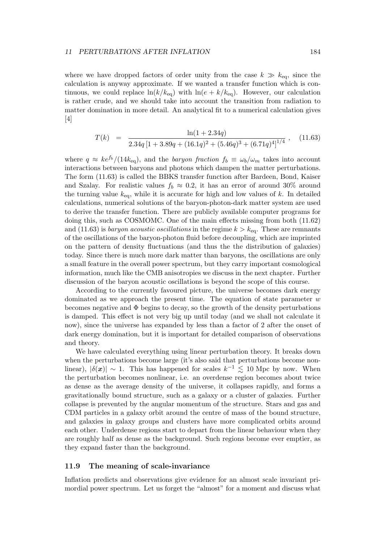where we have dropped factors of order unity from the case  $k \gg k_{eq}$ , since the calculation is anyway approximate. If we wanted a transfer function which is continuous, we could replace  $\ln(k/k_{\text{eq}})$  with  $\ln(e + k/k_{\text{eq}})$ . However, our calculation is rather crude, and we should take into account the transition from radiation to matter domination in more detail. An analytical fit to a numerical calculation gives [4]

$$
T(k) = \frac{\ln(1+2.34q)}{2.34q[1+3.89q+(16.1q)^2+(5.46q)^3+(6.71q)^4]^{1/4}},
$$
 (11.63)

where  $q \approx ke^{f_b}/(14k_{\text{eq}})$ , and the *baryon fraction*  $f_b \equiv \omega_b/\omega_m$  takes into account interactions between baryons and photons which dampen the matter perturbations. The form (11.63) is called the BBKS transfer function after Bardeen, Bond, Kaiser and Szalay. For realistic values  $f_b \approx 0.2$ , it has an error of around 30% around the turning value  $k_{eq}$ , while it is accurate for high and low values of k. In detailed calculations, numerical solutions of the baryon-photon-dark matter system are used to derive the transfer function. There are publicly available computer programs for doing this, such as COSMOMC. One of the main effects missing from both (11.62) and (11.63) is *baryon acoustic oscillations* in the regime  $k > k_{\text{eq}}$ . These are remnants of the oscillations of the baryon-photon fluid before decoupling, which are imprinted on the pattern of density fluctuations (and thus the the distribution of galaxies) today. Since there is much more dark matter than baryons, the oscillations are only a small feature in the overall power spectrum, but they carry important cosmological information, much like the CMB anisotropies we discuss in the next chapter. Further discussion of the baryon acoustic oscillations is beyond the scope of this course.

According to the currently favoured picture, the universe becomes dark energy dominated as we approach the present time. The equation of state parameter  $w$ becomes negative and  $\Phi$  begins to decay, so the growth of the density perturbations is damped. This effect is not very big up until today (and we shall not calculate it now), since the universe has expanded by less than a factor of 2 after the onset of dark energy domination, but it is important for detailed comparison of observations and theory.

We have calculated everything using linear perturbation theory. It breaks down when the perturbations become large (it's also said that perturbations become nonlinear),  $|\delta(\mathbf{x})| \sim 1$ . This has happened for scales  $k^{-1} \lesssim 10$  Mpc by now. When the perturbation becomes nonlinear, i.e. an overdense region becomes about twice as dense as the average density of the universe, it collapses rapidly, and forms a gravitationally bound structure, such as a galaxy or a cluster of galaxies. Further collapse is prevented by the angular momentum of the structure. Stars and gas and CDM particles in a galaxy orbit around the centre of mass of the bound structure, and galaxies in galaxy groups and clusters have more complicated orbits around each other. Underdense regions start to depart from the linear behaviour when they are roughly half as dense as the background. Such regions become ever emptier, as they expand faster than the background.

# 11.9 The meaning of scale-invariance

Inflation predicts and observations give evidence for an almost scale invariant primordial power spectrum. Let us forget the "almost" for a moment and discuss what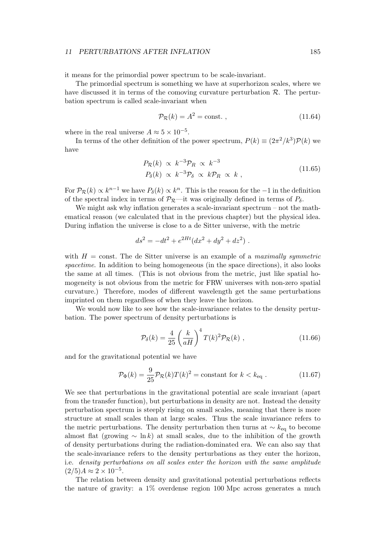it means for the primordial power spectrum to be scale-invariant.

The primordial spectrum is something we have at superhorizon scales, where we have discussed it in terms of the comoving curvature perturbation  $\mathcal{R}$ . The perturbation spectrum is called scale-invariant when

$$
\mathcal{P}_{\mathcal{R}}(k) = A^2 = \text{const.} \tag{11.64}
$$

where in the real universe  $A \approx 5 \times 10^{-5}$ .

In terms of the other definition of the power spectrum,  $P(k) \equiv (2\pi^2/k^3)\mathcal{P}(k)$  we have

$$
P_{\mathcal{R}}(k) \propto k^{-3} \mathcal{P}_R \propto k^{-3}
$$
  
\n
$$
P_{\delta}(k) \propto k^{-3} \mathcal{P}_{\delta} \propto k \mathcal{P}_R \propto k , \qquad (11.65)
$$

For  $P_R(k) \propto k^{n-1}$  we have  $P_\delta(k) \propto k^n$ . This is the reason for the  $-1$  in the definition of the spectral index in terms of  $\mathcal{P}_{\mathcal{R}}$ —it was originally defined in terms of  $P_{\delta}$ .

We might ask why inflation generates a scale-invariant spectrum – not the mathematical reason (we calculated that in the previous chapter) but the physical idea. During inflation the universe is close to a de Sitter universe, with the metric

$$
ds^2 = -dt^2 + e^{2Ht}(dx^2 + dy^2 + dz^2) .
$$

with  $H = \text{const.}$  The de Sitter universe is an example of a maximally symmetric spacetime. In addition to being homogeneous (in the space directions), it also looks the same at all times. (This is not obvious from the metric, just like spatial homogeneity is not obvious from the metric for FRW universes with non-zero spatial curvature.) Therefore, modes of different wavelength get the same perturbations imprinted on them regardless of when they leave the horizon.

We would now like to see how the scale-invariance relates to the density perturbation. The power spectrum of density perturbations is

$$
\mathcal{P}_{\delta}(k) = \frac{4}{25} \left(\frac{k}{aH}\right)^4 T(k)^2 \mathcal{P}_{\mathcal{R}}(k) , \qquad (11.66)
$$

and for the gravitational potential we have

$$
\mathcal{P}_{\Phi}(k) = \frac{9}{25} \mathcal{P}_{\mathcal{R}}(k) T(k)^2 = \text{constant for } k < k_{\text{eq}} \tag{11.67}
$$

We see that perturbations in the gravitational potential are scale invariant (apart from the transfer function), but perturbations in density are not. Instead the density perturbation spectrum is steeply rising on small scales, meaning that there is more structure at small scales than at large scales. Thus the scale invariance refers to the metric perturbations. The density perturbation then turns at  $\sim k_{\text{eq}}$  to become almost flat (growing  $\sim \ln k$ ) at small scales, due to the inhibition of the growth of density perturbations during the radiation-dominated era. We can also say that the scale-invariance refers to the density perturbations as they enter the horizon, i.e. density perturbations on all scales enter the horizon with the same amplitude  $(2/5)A \approx 2 \times 10^{-5}$ .

The relation between density and gravitational potential perturbations reflects the nature of gravity: a 1% overdense region 100 Mpc across generates a much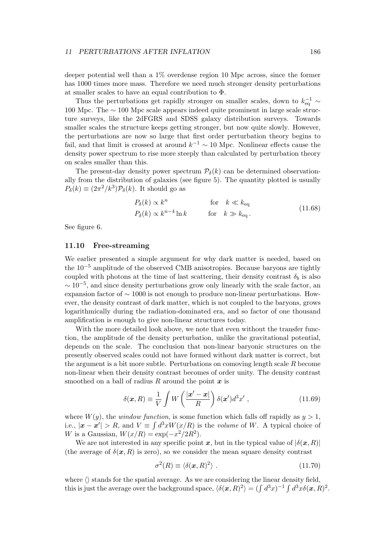deeper potential well than a 1% overdense region 10 Mpc across, since the former has 1000 times more mass. Therefore we need much stronger density perturbations at smaller scales to have an equal contribution to Φ.

Thus the perturbations get rapidly stronger on smaller scales, down to  $k_{\text{eq}}^{-1} \sim$ 100 Mpc. The ∼ 100 Mpc scale appears indeed quite prominent in large scale structure surveys, like the 2dFGRS and SDSS galaxy distribution surveys. Towards smaller scales the structure keeps getting stronger, but now quite slowly. However, the perturbations are now so large that first order perturbation theory begins to fail, and that limit is crossed at around  $k^{-1} \sim 10$  Mpc. Nonlinear effects cause the density power spectrum to rise more steeply than calculated by perturbation theory on scales smaller than this.

The present-day density power spectrum  $P_{\delta}(k)$  can be determined observationally from the distribution of galaxies (see figure 5). The quantity plotted is usually  $P_{\delta}(k) \equiv (2\pi^2/k^3)\mathcal{P}_{\delta}(k)$ . It should go as

$$
P_{\delta}(k) \propto k^{n} \qquad \text{for} \quad k \ll k_{\text{eq}}
$$
  

$$
P_{\delta}(k) \propto k^{n-4} \ln k \qquad \text{for} \quad k \gg k_{\text{eq}}.
$$
 (11.68)

See figure 6.

#### 11.10 Free-streaming

We earlier presented a simple argument for why dark matter is needed, based on the 10−<sup>5</sup> amplitude of the observed CMB anisotropies. Because baryons are tightly coupled with photons at the time of last scattering, their density contrast  $\delta_b$  is also  $\sim 10^{-5}$ , and since density perturbations grow only linearly with the scale factor, an expansion factor of ∼ 1000 is not enough to produce non-linear perturbations. However, the density contrast of dark matter, which is not coupled to the baryons, grows logarithmically during the radiation-dominated era, and so factor of one thousand amplification is enough to give non-linear structures today.

With the more detailed look above, we note that even without the transfer function, the amplitude of the density perturbation, unlike the gravitational potential, depends on the scale. The conclusion that non-linear baryonic structures on the presently observed scales could not have formed without dark matter is correct, but the argument is a bit more subtle. Perturbations on comoving length scale R become non-linear when their density contrast becomes of order unity. The density contrast smoothed on a ball of radius R around the point  $x$  is

$$
\delta(\mathbf{x}, R) \equiv \frac{1}{V} \int W\left(\frac{|\mathbf{x}' - \mathbf{x}|}{R}\right) \delta(\mathbf{x}') d^3 x', \qquad (11.69)
$$

where  $W(y)$ , the *window function*, is some function which falls off rapidly as  $y > 1$ , i.e.,  $|\boldsymbol{x} - \boldsymbol{x}'| > R$ , and  $V \equiv \int d^3x W(x/R)$  is the *volume* of W. A typical choice of W is a Gaussian,  $W(x/R) = \exp(-x^2/2R^2)$ .

We are not interested in any specific point x, but in the typical value of  $|\delta(x,R)|$ (the average of  $\delta(\mathbf{x}, R)$  is zero), so we consider the mean square density contrast

$$
\sigma^2(R) \equiv \langle \delta(\mathbf{x}, R)^2 \rangle \ . \tag{11.70}
$$

where  $\langle \rangle$  stands for the spatial average. As we are considering the linear density field, this is just the average over the background space,  $\langle \delta(\mathbf{x}, R)^2 \rangle = (\int d^3x)^{-1} \int d^3x \delta(\mathbf{x}, R)^2$ .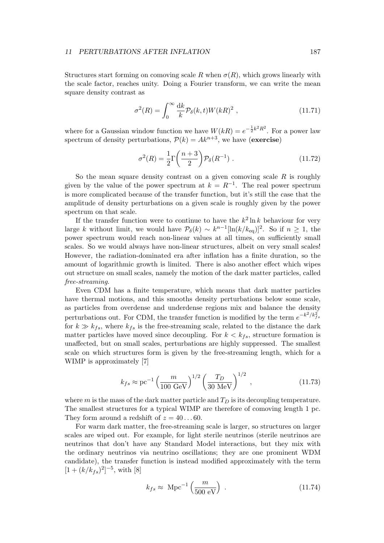Structures start forming on comoving scale R when  $\sigma(R)$ , which grows linearly with the scale factor, reaches unity. Doing a Fourier transform, we can write the mean square density contrast as

$$
\sigma^2(R) = \int_0^\infty \frac{\mathrm{d}k}{k} \mathcal{P}_\delta(k, t) W(kR)^2 \;, \tag{11.71}
$$

where for a Gaussian window function we have  $W(kR) = e^{-\frac{1}{2}k^2R^2}$ . For a power law spectrum of density perturbations,  $\mathcal{P}(k) = Ak^{n+3}$ , we have (exercise)

$$
\sigma^2(R) = \frac{1}{2}\Gamma\left(\frac{n+3}{2}\right)P_\delta(R^{-1})\tag{11.72}
$$

So the mean square density contrast on a given comoving scale  $R$  is roughly given by the value of the power spectrum at  $k = R^{-1}$ . The real power spectrum is more complicated because of the transfer function, but it's still the case that the amplitude of density perturbations on a given scale is roughly given by the power spectrum on that scale.

If the transfer function were to continue to have the  $k^2 \ln k$  behaviour for very large k without limit, we would have  $P_{\delta}(k) \sim k^{n-1} [\ln(k/k_{\text{eq}})]^2$ . So if  $n \geq 1$ , the power spectrum would reach non-linear values at all times, on sufficiently small scales. So we would always have non-linear structures, albeit on very small scales! However, the radiation-dominated era after inflation has a finite duration, so the amount of logarithmic growth is limited. There is also another effect which wipes out structure on small scales, namely the motion of the dark matter particles, called free-streaming.

Even CDM has a finite temperature, which means that dark matter particles have thermal motions, and this smooths density perturbations below some scale, as particles from overdense and underdense regions mix and balance the density perturbations out. For CDM, the transfer function is modified by the term  $e^{-k^2/k_{fs}^2}$ for  $k \gg k_{fs}$ , where  $k_{fs}$  is the free-streaming scale, related to the distance the dark matter particles have moved since decoupling. For  $k < k_{fs}$ , structure formation is unaffected, but on small scales, perturbations are highly suppressed. The smallest scale on which structures form is given by the free-streaming length, which for a WIMP is approximately [7]

$$
k_{fs} \approx \text{pc}^{-1} \left(\frac{m}{100 \text{ GeV}}\right)^{1/2} \left(\frac{T_D}{30 \text{ MeV}}\right)^{1/2} ,\qquad (11.73)
$$

where m is the mass of the dark matter particle and  $T_D$  is its decoupling temperature. The smallest structures for a typical WIMP are therefore of comoving length 1 pc. They form around a redshift of  $z = 40...60$ .

For warm dark matter, the free-streaming scale is larger, so structures on larger scales are wiped out. For example, for light sterile neutrinos (sterile neutrinos are neutrinos that don't have any Standard Model interactions, but they mix with the ordinary neutrinos via neutrino oscillations; they are one prominent WDM candidate), the transfer function is instead modified approximately with the term  $[1 + (k/k_{fs})^2]^{-5}$ , with [8]

$$
k_{fs} \approx \text{ Mpc}^{-1} \left( \frac{m}{500 \text{ eV}} \right) \,. \tag{11.74}
$$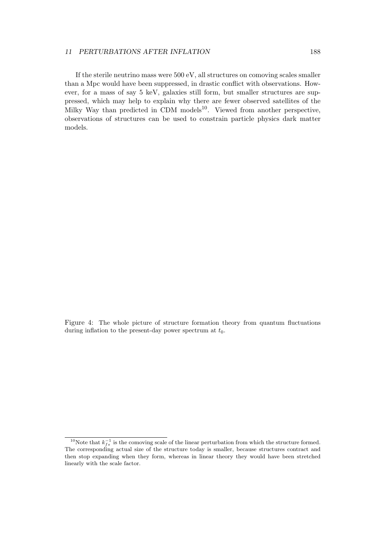If the sterile neutrino mass were 500 eV, all structures on comoving scales smaller than a Mpc would have been suppressed, in drastic conflict with observations. However, for a mass of say 5 keV, galaxies still form, but smaller structures are suppressed, which may help to explain why there are fewer observed satellites of the Milky Way than predicted in CDM models<sup>10</sup>. Viewed from another perspective, observations of structures can be used to constrain particle physics dark matter models.

Figure 4: The whole picture of structure formation theory from quantum fluctuations during inflation to the present-day power spectrum at  $t_0$ .

<sup>&</sup>lt;sup>10</sup>Note that  $k_{fs}^{-1}$  is the comoving scale of the linear perturbation from which the structure formed. The corresponding actual size of the structure today is smaller, because structures contract and then stop expanding when they form, whereas in linear theory they would have been stretched linearly with the scale factor.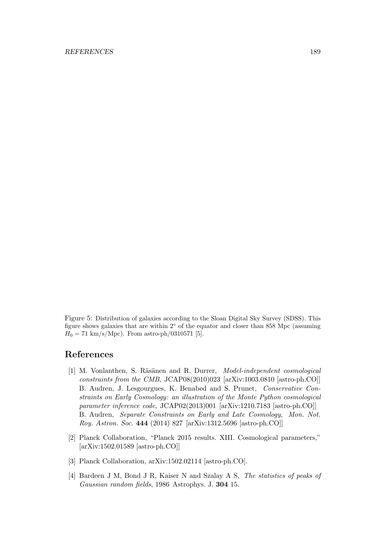Figure 5: Distribution of galaxies according to the Sloan Digital Sky Survey (SDSS). This figure shows galaxies that are within 2◦ of the equator and closer than 858 Mpc (assuming  $H_0 = 71 \text{ km/s/Mpc}$ . From astro-ph/0310571 [5].

# References

- [1] M. Vonlanthen, S. Räsänen and R. Durrer, *Model-independent cosmological* constraints from the CMB, JCAP08(2010)023 [arXiv:1003.0810 [astro-ph.CO]] B. Audren, J. Lesgourgues, K. Benabed and S. Prunet, Conservative Constraints on Early Cosmology: an illustration of the Monte Python cosmological parameter inference code, JCAP02(2013)001 [arXiv:1210.7183 [astro-ph.CO]] B. Audren, Separate Constraints on Early and Late Cosmology, Mon. Not. Roy. Astron. Soc. 444 (2014) 827 [arXiv:1312.5696 [astro-ph.CO]]
- [2] Planck Collaboration, "Planck 2015 results. XIII. Cosmological parameters," [arXiv:1502.01589 [astro-ph.CO]]
- [3] Planck Collaboration, arXiv:1502.02114 [astro-ph.CO].
- [4] Bardeen J M, Bond J R, Kaiser N and Szalay A S, The statistics of peaks of Gaussian random fields, 1986 Astrophys. J. 304 15.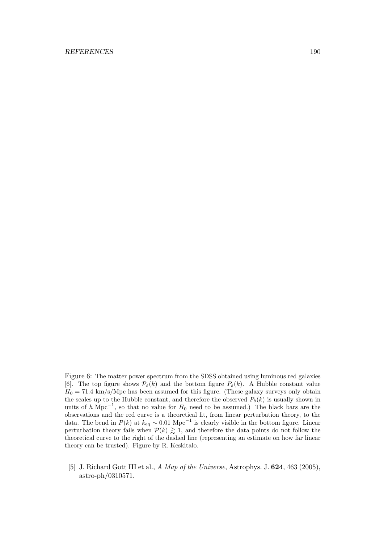#### REFERENCES 190

Figure 6: The matter power spectrum from the SDSS obtained using luminous red galaxies [6]. The top figure shows  $\mathcal{P}_{\delta}(k)$  and the bottom figure  $P_{\delta}(k)$ . A Hubble constant value  $H_0 = 71.4 \text{ km/s/Mpc}$  has been assumed for this figure. (These galaxy surveys only obtain the scales up to the Hubble constant, and therefore the observed  $P_{\delta}(k)$  is usually shown in units of h Mpc<sup>-1</sup>, so that no value for  $H_0$  need to be assumed.) The black bars are the observations and the red curve is a theoretical fit, from linear perturbation theory, to the data. The bend in  $P(k)$  at  $k_{\text{eq}} \sim 0.01 \text{ Mpc}^{-1}$  is clearly visible in the bottom figure. Linear perturbation theory fails when  $P(k) \geq 1$ , and therefore the data points do not follow the theoretical curve to the right of the dashed line (representing an estimate on how far linear theory can be trusted). Figure by R. Keskitalo.

[5] J. Richard Gott III et al., A Map of the Universe, Astrophys. J. 624, 463 (2005), astro-ph/0310571.